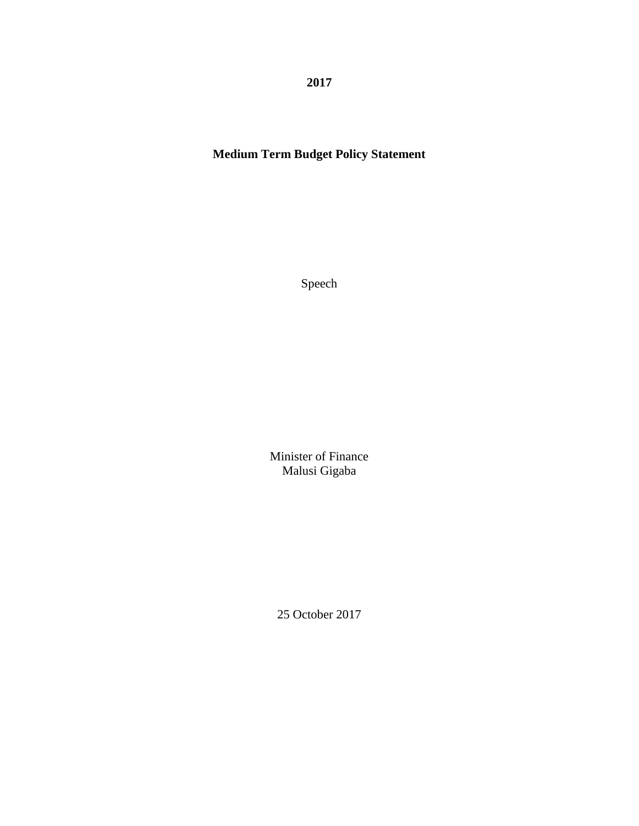**2017**

# **Medium Term Budget Policy Statement**

Speech

Minister of Finance Malusi Gigaba

25 October 2017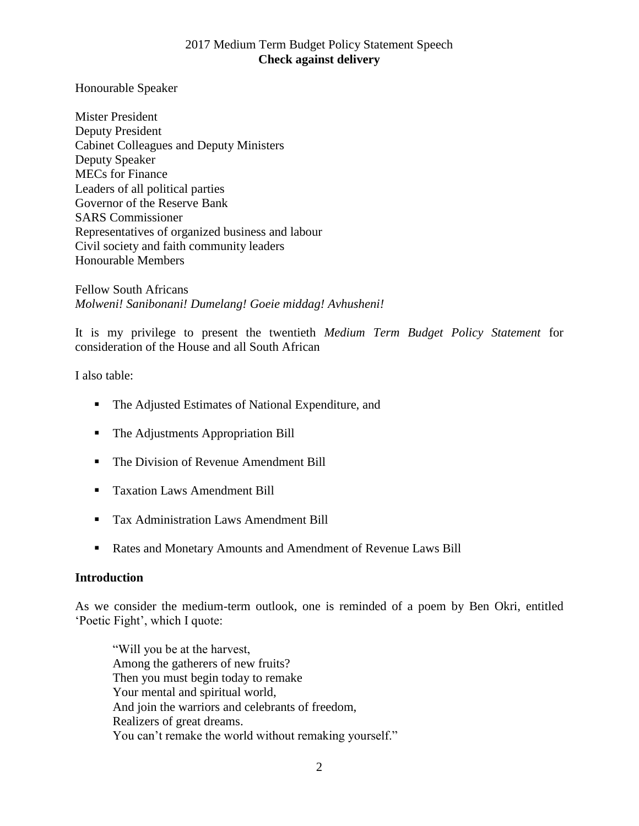Honourable Speaker

Mister President Deputy President Cabinet Colleagues and Deputy Ministers Deputy Speaker MECs for Finance Leaders of all political parties Governor of the Reserve Bank SARS Commissioner Representatives of organized business and labour Civil society and faith community leaders Honourable Members

Fellow South Africans *Molweni! Sanibonani! Dumelang! Goeie middag! Avhusheni!*

It is my privilege to present the twentieth *Medium Term Budget Policy Statement* for consideration of the House and all South African

I also table:

- The Adjusted Estimates of National Expenditure, and
- The Adjustments Appropriation Bill
- The Division of Revenue Amendment Bill
- Taxation Laws Amendment Bill
- **Tax Administration Laws Amendment Bill**
- Rates and Monetary Amounts and Amendment of Revenue Laws Bill

#### **Introduction**

As we consider the medium-term outlook, one is reminded of a poem by Ben Okri, entitled 'Poetic Fight', which I quote:

"Will you be at the harvest, Among the gatherers of new fruits? Then you must begin today to remake Your mental and spiritual world, And join the warriors and celebrants of freedom, Realizers of great dreams. You can't remake the world without remaking yourself."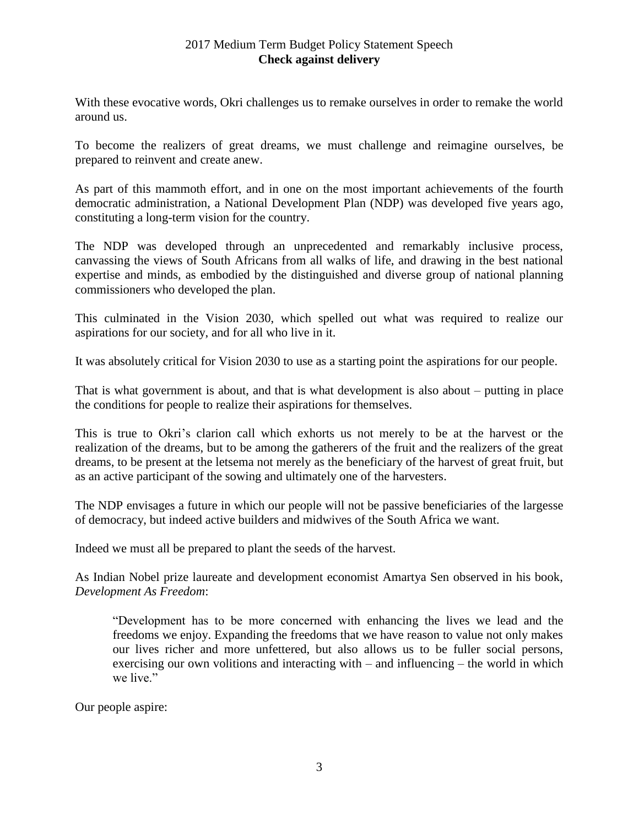With these evocative words, Okri challenges us to remake ourselves in order to remake the world around us.

To become the realizers of great dreams, we must challenge and reimagine ourselves, be prepared to reinvent and create anew.

As part of this mammoth effort, and in one on the most important achievements of the fourth democratic administration, a National Development Plan (NDP) was developed five years ago, constituting a long-term vision for the country.

The NDP was developed through an unprecedented and remarkably inclusive process, canvassing the views of South Africans from all walks of life, and drawing in the best national expertise and minds, as embodied by the distinguished and diverse group of national planning commissioners who developed the plan.

This culminated in the Vision 2030, which spelled out what was required to realize our aspirations for our society, and for all who live in it.

It was absolutely critical for Vision 2030 to use as a starting point the aspirations for our people.

That is what government is about, and that is what development is also about – putting in place the conditions for people to realize their aspirations for themselves.

This is true to Okri's clarion call which exhorts us not merely to be at the harvest or the realization of the dreams, but to be among the gatherers of the fruit and the realizers of the great dreams, to be present at the letsema not merely as the beneficiary of the harvest of great fruit, but as an active participant of the sowing and ultimately one of the harvesters.

The NDP envisages a future in which our people will not be passive beneficiaries of the largesse of democracy, but indeed active builders and midwives of the South Africa we want.

Indeed we must all be prepared to plant the seeds of the harvest.

As Indian Nobel prize laureate and development economist Amartya Sen observed in his book, *Development As Freedom*:

"Development has to be more concerned with enhancing the lives we lead and the freedoms we enjoy. Expanding the freedoms that we have reason to value not only makes our lives richer and more unfettered, but also allows us to be fuller social persons, exercising our own volitions and interacting with – and influencing – the world in which we live."

Our people aspire: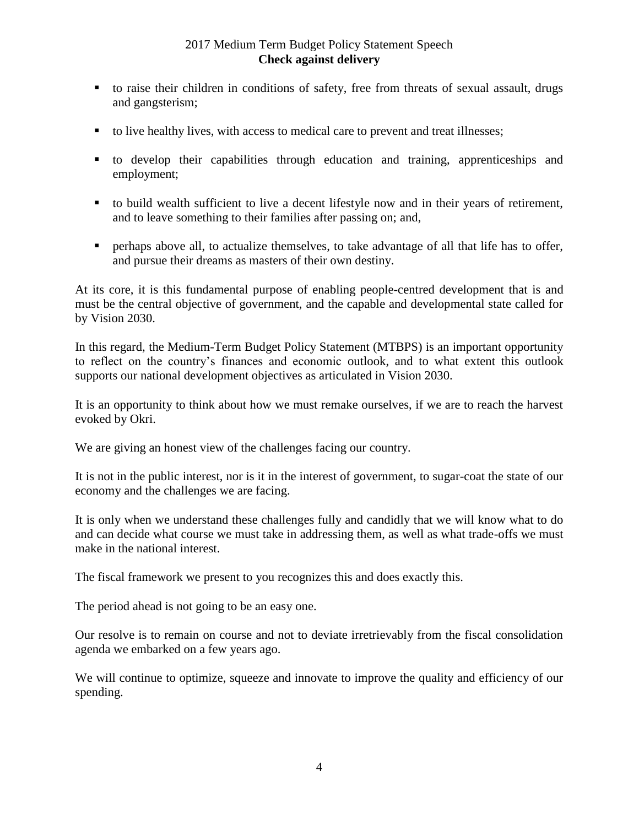- to raise their children in conditions of safety, free from threats of sexual assault, drugs and gangsterism;
- to live healthy lives, with access to medical care to prevent and treat illnesses;
- to develop their capabilities through education and training, apprenticeships and employment;
- to build wealth sufficient to live a decent lifestyle now and in their years of retirement, and to leave something to their families after passing on; and,
- perhaps above all, to actualize themselves, to take advantage of all that life has to offer, and pursue their dreams as masters of their own destiny.

At its core, it is this fundamental purpose of enabling people-centred development that is and must be the central objective of government, and the capable and developmental state called for by Vision 2030.

In this regard, the Medium-Term Budget Policy Statement (MTBPS) is an important opportunity to reflect on the country's finances and economic outlook, and to what extent this outlook supports our national development objectives as articulated in Vision 2030.

It is an opportunity to think about how we must remake ourselves, if we are to reach the harvest evoked by Okri.

We are giving an honest view of the challenges facing our country.

It is not in the public interest, nor is it in the interest of government, to sugar-coat the state of our economy and the challenges we are facing.

It is only when we understand these challenges fully and candidly that we will know what to do and can decide what course we must take in addressing them, as well as what trade-offs we must make in the national interest.

The fiscal framework we present to you recognizes this and does exactly this.

The period ahead is not going to be an easy one.

Our resolve is to remain on course and not to deviate irretrievably from the fiscal consolidation agenda we embarked on a few years ago.

We will continue to optimize, squeeze and innovate to improve the quality and efficiency of our spending.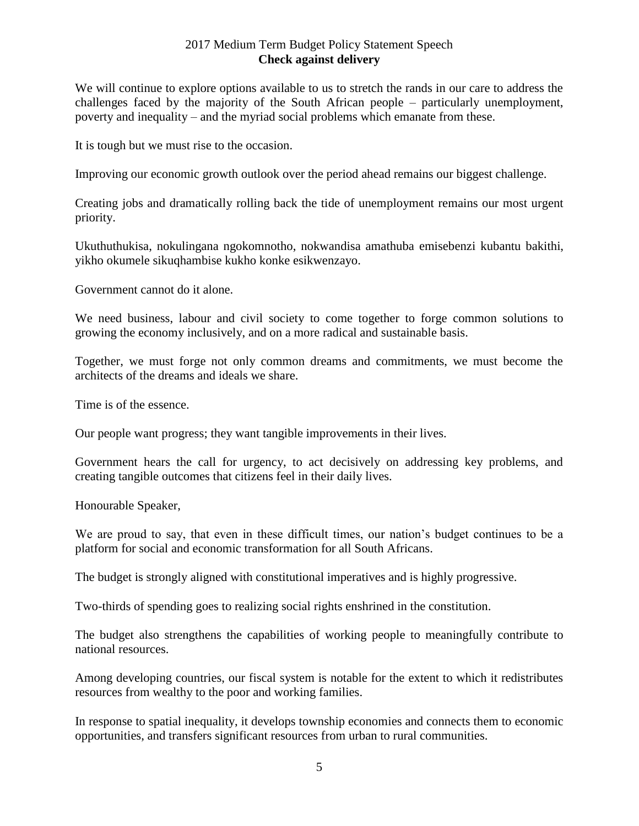We will continue to explore options available to us to stretch the rands in our care to address the challenges faced by the majority of the South African people – particularly unemployment, poverty and inequality – and the myriad social problems which emanate from these.

It is tough but we must rise to the occasion.

Improving our economic growth outlook over the period ahead remains our biggest challenge.

Creating jobs and dramatically rolling back the tide of unemployment remains our most urgent priority.

Ukuthuthukisa, nokulingana ngokomnotho, nokwandisa amathuba emisebenzi kubantu bakithi, yikho okumele sikuqhambise kukho konke esikwenzayo.

Government cannot do it alone.

We need business, labour and civil society to come together to forge common solutions to growing the economy inclusively, and on a more radical and sustainable basis.

Together, we must forge not only common dreams and commitments, we must become the architects of the dreams and ideals we share.

Time is of the essence.

Our people want progress; they want tangible improvements in their lives.

Government hears the call for urgency, to act decisively on addressing key problems, and creating tangible outcomes that citizens feel in their daily lives.

Honourable Speaker,

We are proud to say, that even in these difficult times, our nation's budget continues to be a platform for social and economic transformation for all South Africans.

The budget is strongly aligned with constitutional imperatives and is highly progressive.

Two-thirds of spending goes to realizing social rights enshrined in the constitution.

The budget also strengthens the capabilities of working people to meaningfully contribute to national resources.

Among developing countries, our fiscal system is notable for the extent to which it redistributes resources from wealthy to the poor and working families.

In response to spatial inequality, it develops township economies and connects them to economic opportunities, and transfers significant resources from urban to rural communities.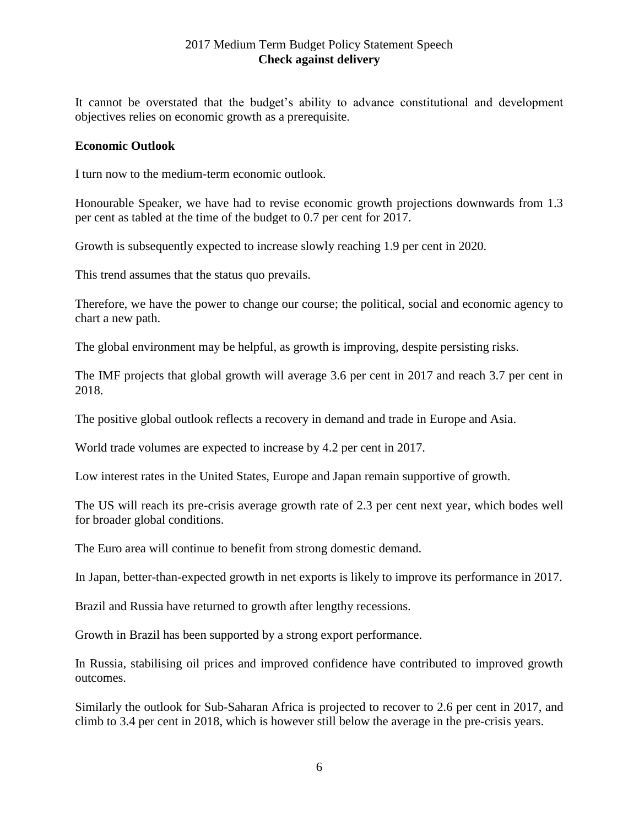It cannot be overstated that the budget's ability to advance constitutional and development objectives relies on economic growth as a prerequisite.

#### **Economic Outlook**

I turn now to the medium-term economic outlook.

Honourable Speaker, we have had to revise economic growth projections downwards from 1.3 per cent as tabled at the time of the budget to 0.7 per cent for 2017.

Growth is subsequently expected to increase slowly reaching 1.9 per cent in 2020.

This trend assumes that the status quo prevails.

Therefore, we have the power to change our course; the political, social and economic agency to chart a new path.

The global environment may be helpful, as growth is improving, despite persisting risks.

The IMF projects that global growth will average 3.6 per cent in 2017 and reach 3.7 per cent in 2018.

The positive global outlook reflects a recovery in demand and trade in Europe and Asia.

World trade volumes are expected to increase by 4.2 per cent in 2017.

Low interest rates in the United States, Europe and Japan remain supportive of growth.

The US will reach its pre-crisis average growth rate of 2.3 per cent next year, which bodes well for broader global conditions.

The Euro area will continue to benefit from strong domestic demand.

In Japan, better-than-expected growth in net exports is likely to improve its performance in 2017.

Brazil and Russia have returned to growth after lengthy recessions.

Growth in Brazil has been supported by a strong export performance.

In Russia, stabilising oil prices and improved confidence have contributed to improved growth outcomes.

Similarly the outlook for Sub-Saharan Africa is projected to recover to 2.6 per cent in 2017, and climb to 3.4 per cent in 2018, which is however still below the average in the pre-crisis years.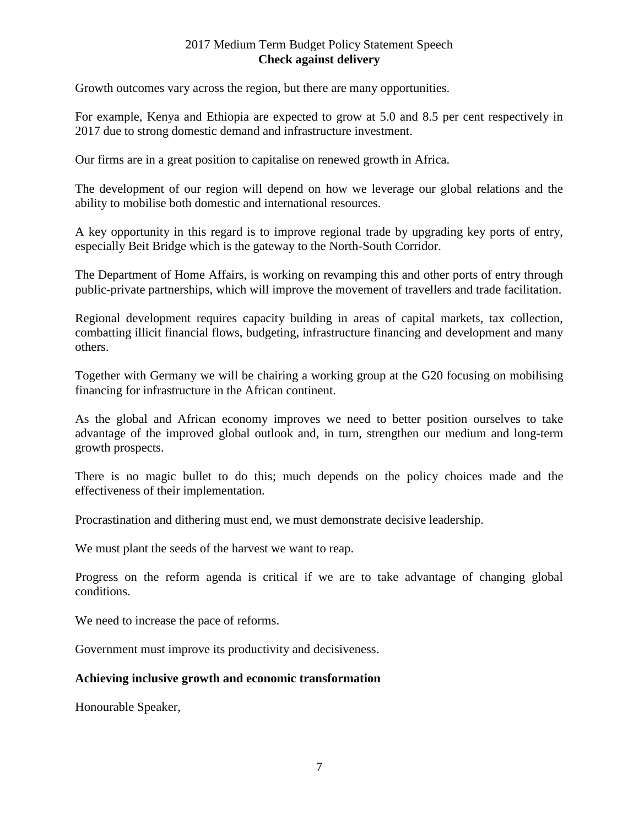Growth outcomes vary across the region, but there are many opportunities.

For example, Kenya and Ethiopia are expected to grow at 5.0 and 8.5 per cent respectively in 2017 due to strong domestic demand and infrastructure investment.

Our firms are in a great position to capitalise on renewed growth in Africa.

The development of our region will depend on how we leverage our global relations and the ability to mobilise both domestic and international resources.

A key opportunity in this regard is to improve regional trade by upgrading key ports of entry, especially Beit Bridge which is the gateway to the North-South Corridor.

The Department of Home Affairs, is working on revamping this and other ports of entry through public-private partnerships, which will improve the movement of travellers and trade facilitation.

Regional development requires capacity building in areas of capital markets, tax collection, combatting illicit financial flows, budgeting, infrastructure financing and development and many others.

Together with Germany we will be chairing a working group at the G20 focusing on mobilising financing for infrastructure in the African continent.

As the global and African economy improves we need to better position ourselves to take advantage of the improved global outlook and, in turn, strengthen our medium and long-term growth prospects.

There is no magic bullet to do this; much depends on the policy choices made and the effectiveness of their implementation.

Procrastination and dithering must end, we must demonstrate decisive leadership.

We must plant the seeds of the harvest we want to reap.

Progress on the reform agenda is critical if we are to take advantage of changing global conditions.

We need to increase the pace of reforms.

Government must improve its productivity and decisiveness.

#### **Achieving inclusive growth and economic transformation**

Honourable Speaker,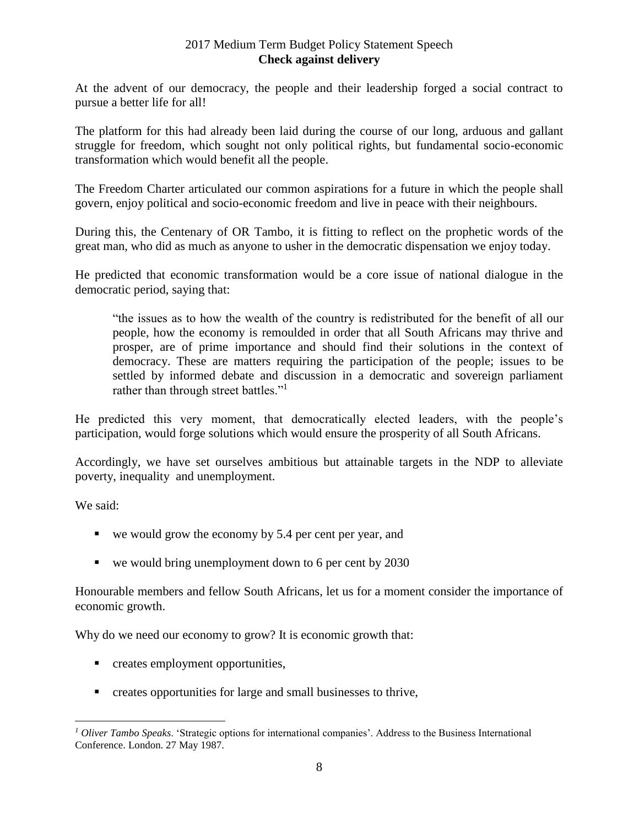At the advent of our democracy, the people and their leadership forged a social contract to pursue a better life for all!

The platform for this had already been laid during the course of our long, arduous and gallant struggle for freedom, which sought not only political rights, but fundamental socio-economic transformation which would benefit all the people.

The Freedom Charter articulated our common aspirations for a future in which the people shall govern, enjoy political and socio-economic freedom and live in peace with their neighbours.

During this, the Centenary of OR Tambo, it is fitting to reflect on the prophetic words of the great man, who did as much as anyone to usher in the democratic dispensation we enjoy today.

He predicted that economic transformation would be a core issue of national dialogue in the democratic period, saying that:

"the issues as to how the wealth of the country is redistributed for the benefit of all our people, how the economy is remoulded in order that all South Africans may thrive and prosper, are of prime importance and should find their solutions in the context of democracy. These are matters requiring the participation of the people; issues to be settled by informed debate and discussion in a democratic and sovereign parliament rather than through street battles."<sup>1</sup>

He predicted this very moment, that democratically elected leaders, with the people's participation, would forge solutions which would ensure the prosperity of all South Africans.

Accordingly, we have set ourselves ambitious but attainable targets in the NDP to alleviate poverty, inequality and unemployment.

We said:

 $\overline{a}$ 

- $\bullet$  we would grow the economy by 5.4 per cent per year, and
- $\bullet$  we would bring unemployment down to 6 per cent by 2030

Honourable members and fellow South Africans, let us for a moment consider the importance of economic growth.

Why do we need our economy to grow? It is economic growth that:

- **•** creates employment opportunities,
- creates opportunities for large and small businesses to thrive,

*<sup>1</sup> Oliver Tambo Speaks*. 'Strategic options for international companies'. Address to the Business International Conference. London. 27 May 1987.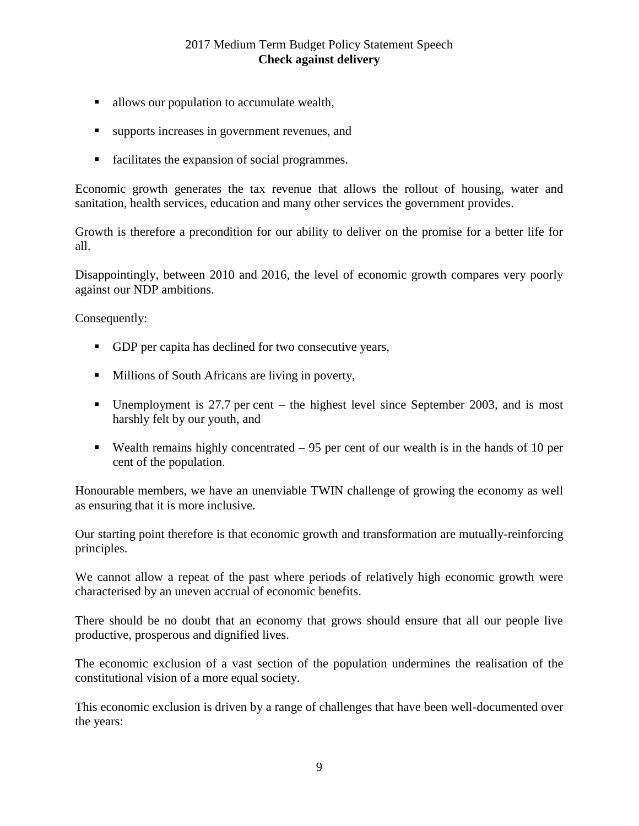- allows our population to accumulate wealth,
- supports increases in government revenues, and
- facilitates the expansion of social programmes.

Economic growth generates the tax revenue that allows the rollout of housing, water and sanitation, health services, education and many other services the government provides.

Growth is therefore a precondition for our ability to deliver on the promise for a better life for all.

Disappointingly, between 2010 and 2016, the level of economic growth compares very poorly against our NDP ambitions.

Consequently:

- GDP per capita has declined for two consecutive years,
- **Millions of South Africans are living in poverty,**
- Unemployment is 27.7 per cent the highest level since September 2003, and is most harshly felt by our youth, and
- Wealth remains highly concentrated  $-95$  per cent of our wealth is in the hands of 10 per cent of the population.

Honourable members, we have an unenviable TWIN challenge of growing the economy as well as ensuring that it is more inclusive.

Our starting point therefore is that economic growth and transformation are mutually-reinforcing principles.

We cannot allow a repeat of the past where periods of relatively high economic growth were characterised by an uneven accrual of economic benefits.

There should be no doubt that an economy that grows should ensure that all our people live productive, prosperous and dignified lives.

The economic exclusion of a vast section of the population undermines the realisation of the constitutional vision of a more equal society.

This economic exclusion is driven by a range of challenges that have been well-documented over the years: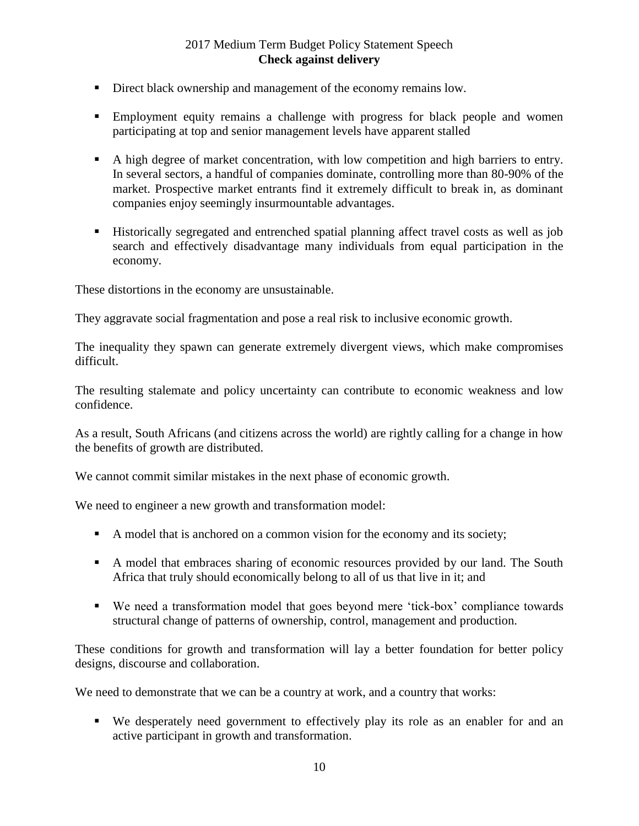- Direct black ownership and management of the economy remains low.
- Employment equity remains a challenge with progress for black people and women participating at top and senior management levels have apparent stalled
- A high degree of market concentration, with low competition and high barriers to entry. In several sectors, a handful of companies dominate, controlling more than 80-90% of the market. Prospective market entrants find it extremely difficult to break in, as dominant companies enjoy seemingly insurmountable advantages.
- Historically segregated and entrenched spatial planning affect travel costs as well as job search and effectively disadvantage many individuals from equal participation in the economy.

These distortions in the economy are unsustainable.

They aggravate social fragmentation and pose a real risk to inclusive economic growth.

The inequality they spawn can generate extremely divergent views, which make compromises difficult.

The resulting stalemate and policy uncertainty can contribute to economic weakness and low confidence.

As a result, South Africans (and citizens across the world) are rightly calling for a change in how the benefits of growth are distributed.

We cannot commit similar mistakes in the next phase of economic growth.

We need to engineer a new growth and transformation model:

- A model that is anchored on a common vision for the economy and its society;
- A model that embraces sharing of economic resources provided by our land. The South Africa that truly should economically belong to all of us that live in it; and
- We need a transformation model that goes beyond mere 'tick-box' compliance towards structural change of patterns of ownership, control, management and production.

These conditions for growth and transformation will lay a better foundation for better policy designs, discourse and collaboration.

We need to demonstrate that we can be a country at work, and a country that works:

 We desperately need government to effectively play its role as an enabler for and an active participant in growth and transformation.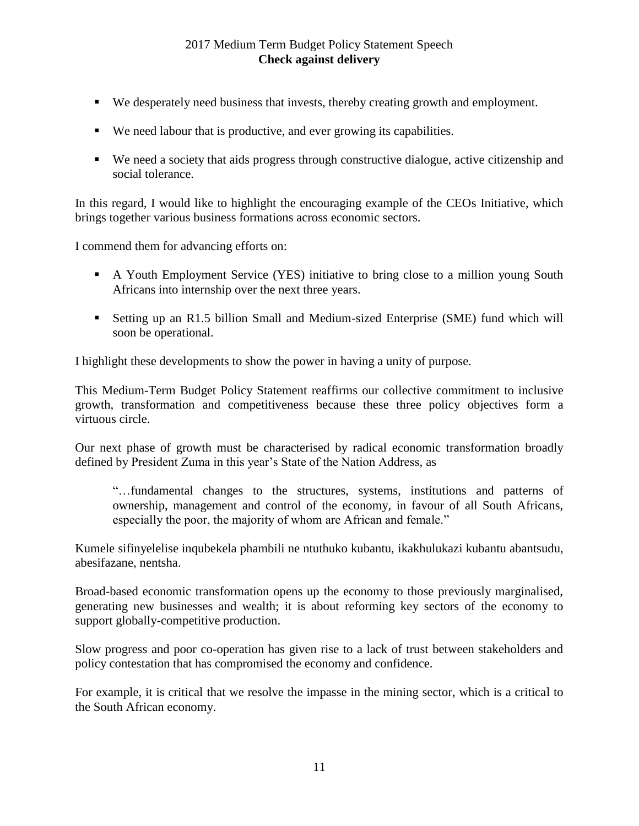- We desperately need business that invests, thereby creating growth and employment.
- We need labour that is productive, and ever growing its capabilities.
- We need a society that aids progress through constructive dialogue, active citizenship and social tolerance.

In this regard, I would like to highlight the encouraging example of the CEOs Initiative, which brings together various business formations across economic sectors.

I commend them for advancing efforts on:

- A Youth Employment Service (YES) initiative to bring close to a million young South Africans into internship over the next three years.
- Setting up an R1.5 billion Small and Medium-sized Enterprise (SME) fund which will soon be operational.

I highlight these developments to show the power in having a unity of purpose.

This Medium-Term Budget Policy Statement reaffirms our collective commitment to inclusive growth, transformation and competitiveness because these three policy objectives form a virtuous circle.

Our next phase of growth must be characterised by radical economic transformation broadly defined by President Zuma in this year's State of the Nation Address, as

"…fundamental changes to the structures, systems, institutions and patterns of ownership, management and control of the economy, in favour of all South Africans, especially the poor, the majority of whom are African and female."

Kumele sifinyelelise inqubekela phambili ne ntuthuko kubantu, ikakhulukazi kubantu abantsudu, abesifazane, nentsha.

Broad-based economic transformation opens up the economy to those previously marginalised, generating new businesses and wealth; it is about reforming key sectors of the economy to support globally-competitive production.

Slow progress and poor co-operation has given rise to a lack of trust between stakeholders and policy contestation that has compromised the economy and confidence.

For example, it is critical that we resolve the impasse in the mining sector, which is a critical to the South African economy.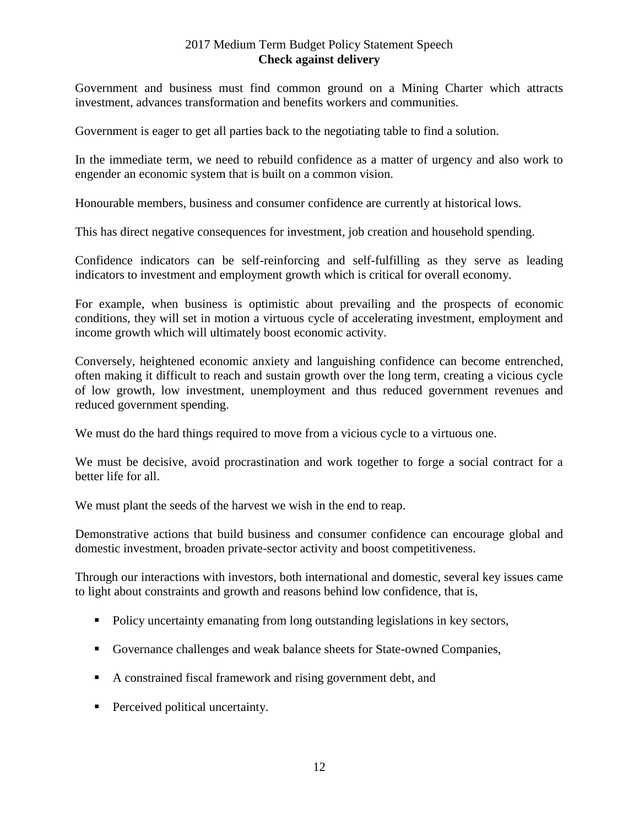Government and business must find common ground on a Mining Charter which attracts investment, advances transformation and benefits workers and communities.

Government is eager to get all parties back to the negotiating table to find a solution.

In the immediate term, we need to rebuild confidence as a matter of urgency and also work to engender an economic system that is built on a common vision.

Honourable members, business and consumer confidence are currently at historical lows.

This has direct negative consequences for investment, job creation and household spending.

Confidence indicators can be self-reinforcing and self-fulfilling as they serve as leading indicators to investment and employment growth which is critical for overall economy.

For example, when business is optimistic about prevailing and the prospects of economic conditions, they will set in motion a virtuous cycle of accelerating investment, employment and income growth which will ultimately boost economic activity.

Conversely, heightened economic anxiety and languishing confidence can become entrenched, often making it difficult to reach and sustain growth over the long term, creating a vicious cycle of low growth, low investment, unemployment and thus reduced government revenues and reduced government spending.

We must do the hard things required to move from a vicious cycle to a virtuous one.

We must be decisive, avoid procrastination and work together to forge a social contract for a better life for all.

We must plant the seeds of the harvest we wish in the end to reap.

Demonstrative actions that build business and consumer confidence can encourage global and domestic investment, broaden private-sector activity and boost competitiveness.

Through our interactions with investors, both international and domestic, several key issues came to light about constraints and growth and reasons behind low confidence, that is,

- Policy uncertainty emanating from long outstanding legislations in key sectors,
- Governance challenges and weak balance sheets for State-owned Companies,
- A constrained fiscal framework and rising government debt, and
- **Perceived political uncertainty.**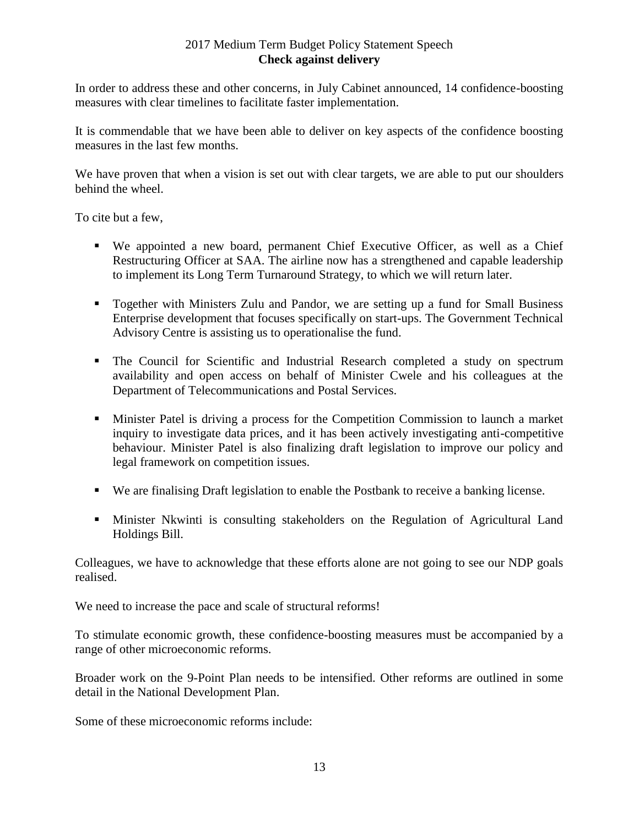In order to address these and other concerns, in July Cabinet announced, 14 confidence-boosting measures with clear timelines to facilitate faster implementation.

It is commendable that we have been able to deliver on key aspects of the confidence boosting measures in the last few months.

We have proven that when a vision is set out with clear targets, we are able to put our shoulders behind the wheel.

To cite but a few,

- We appointed a new board, permanent Chief Executive Officer, as well as a Chief Restructuring Officer at SAA. The airline now has a strengthened and capable leadership to implement its Long Term Turnaround Strategy, to which we will return later.
- Together with Ministers Zulu and Pandor, we are setting up a fund for Small Business Enterprise development that focuses specifically on start-ups. The Government Technical Advisory Centre is assisting us to operationalise the fund.
- The Council for Scientific and Industrial Research completed a study on spectrum availability and open access on behalf of Minister Cwele and his colleagues at the Department of Telecommunications and Postal Services.
- Minister Patel is driving a process for the Competition Commission to launch a market inquiry to investigate data prices, and it has been actively investigating anti-competitive behaviour. Minister Patel is also finalizing draft legislation to improve our policy and legal framework on competition issues.
- We are finalising Draft legislation to enable the Postbank to receive a banking license.
- Minister Nkwinti is consulting stakeholders on the Regulation of Agricultural Land Holdings Bill.

Colleagues, we have to acknowledge that these efforts alone are not going to see our NDP goals realised.

We need to increase the pace and scale of structural reforms!

To stimulate economic growth, these confidence-boosting measures must be accompanied by a range of other microeconomic reforms.

Broader work on the 9-Point Plan needs to be intensified. Other reforms are outlined in some detail in the National Development Plan.

Some of these microeconomic reforms include: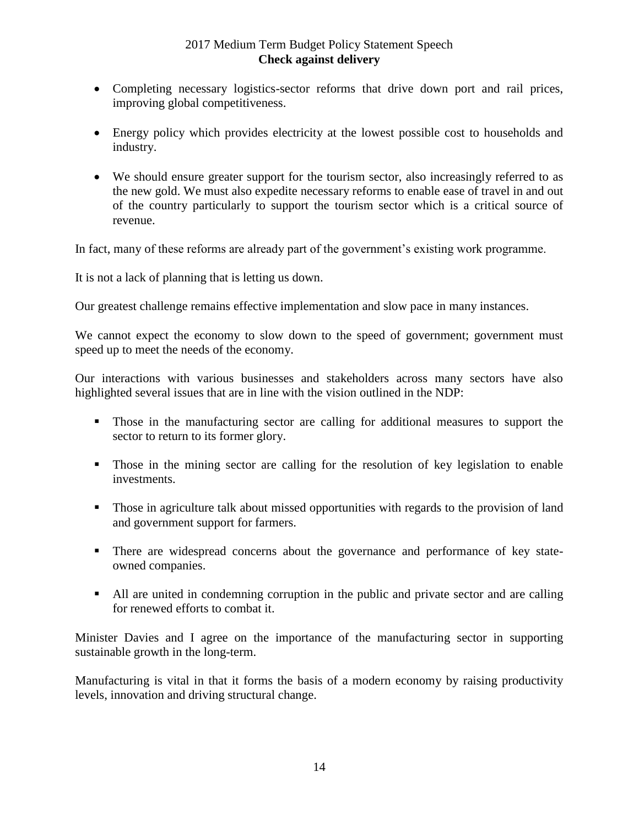- Completing necessary logistics-sector reforms that drive down port and rail prices, improving global competitiveness.
- Energy policy which provides electricity at the lowest possible cost to households and industry.
- We should ensure greater support for the tourism sector, also increasingly referred to as the new gold. We must also expedite necessary reforms to enable ease of travel in and out of the country particularly to support the tourism sector which is a critical source of revenue.

In fact, many of these reforms are already part of the government's existing work programme.

It is not a lack of planning that is letting us down.

Our greatest challenge remains effective implementation and slow pace in many instances.

We cannot expect the economy to slow down to the speed of government; government must speed up to meet the needs of the economy.

Our interactions with various businesses and stakeholders across many sectors have also highlighted several issues that are in line with the vision outlined in the NDP:

- Those in the manufacturing sector are calling for additional measures to support the sector to return to its former glory.
- Those in the mining sector are calling for the resolution of key legislation to enable investments.
- Those in agriculture talk about missed opportunities with regards to the provision of land and government support for farmers.
- There are widespread concerns about the governance and performance of key stateowned companies.
- All are united in condemning corruption in the public and private sector and are calling for renewed efforts to combat it.

Minister Davies and I agree on the importance of the manufacturing sector in supporting sustainable growth in the long-term.

Manufacturing is vital in that it forms the basis of a modern economy by raising productivity levels, innovation and driving structural change.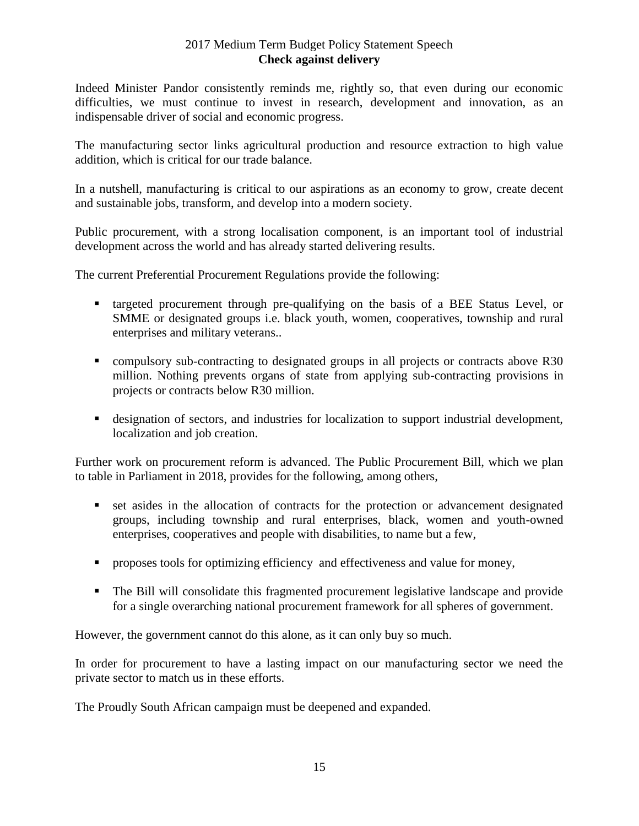Indeed Minister Pandor consistently reminds me, rightly so, that even during our economic difficulties, we must continue to invest in research, development and innovation, as an indispensable driver of social and economic progress.

The manufacturing sector links agricultural production and resource extraction to high value addition, which is critical for our trade balance.

In a nutshell, manufacturing is critical to our aspirations as an economy to grow, create decent and sustainable jobs, transform, and develop into a modern society.

Public procurement, with a strong localisation component, is an important tool of industrial development across the world and has already started delivering results.

The current Preferential Procurement Regulations provide the following:

- targeted procurement through pre-qualifying on the basis of a BEE Status Level, or SMME or designated groups i.e. black youth, women, cooperatives, township and rural enterprises and military veterans..
- compulsory sub-contracting to designated groups in all projects or contracts above R30 million. Nothing prevents organs of state from applying sub-contracting provisions in projects or contracts below R30 million.
- designation of sectors, and industries for localization to support industrial development, localization and job creation.

Further work on procurement reform is advanced. The Public Procurement Bill, which we plan to table in Parliament in 2018, provides for the following, among others,

- set asides in the allocation of contracts for the protection or advancement designated groups, including township and rural enterprises, black, women and youth-owned enterprises, cooperatives and people with disabilities, to name but a few,
- **Peroposes tools for optimizing efficiency and effectiveness and value for money,**
- The Bill will consolidate this fragmented procurement legislative landscape and provide for a single overarching national procurement framework for all spheres of government.

However, the government cannot do this alone, as it can only buy so much.

In order for procurement to have a lasting impact on our manufacturing sector we need the private sector to match us in these efforts.

The Proudly South African campaign must be deepened and expanded.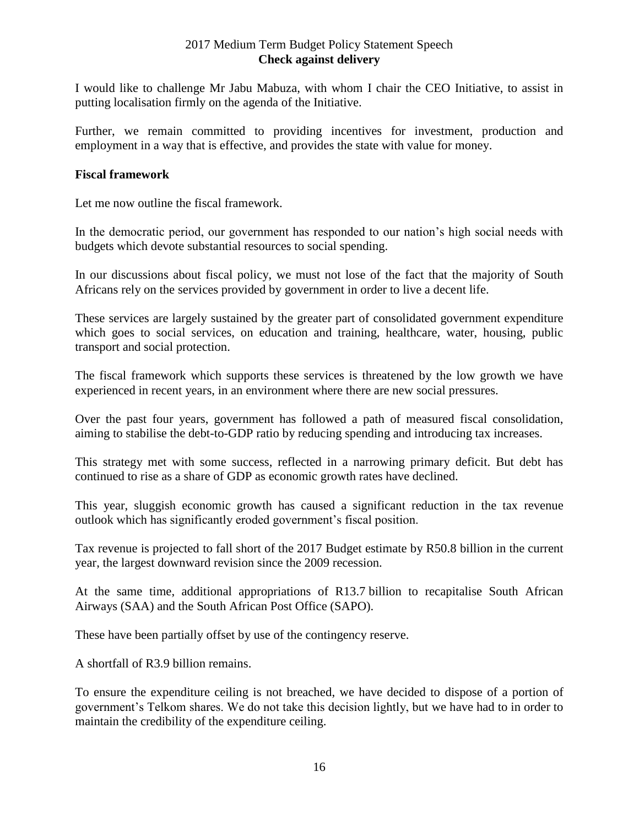I would like to challenge Mr Jabu Mabuza, with whom I chair the CEO Initiative, to assist in putting localisation firmly on the agenda of the Initiative.

Further, we remain committed to providing incentives for investment, production and employment in a way that is effective, and provides the state with value for money.

#### **Fiscal framework**

Let me now outline the fiscal framework.

In the democratic period, our government has responded to our nation's high social needs with budgets which devote substantial resources to social spending.

In our discussions about fiscal policy, we must not lose of the fact that the majority of South Africans rely on the services provided by government in order to live a decent life.

These services are largely sustained by the greater part of consolidated government expenditure which goes to social services, on education and training, healthcare, water, housing, public transport and social protection.

The fiscal framework which supports these services is threatened by the low growth we have experienced in recent years, in an environment where there are new social pressures.

Over the past four years, government has followed a path of measured fiscal consolidation, aiming to stabilise the debt-to-GDP ratio by reducing spending and introducing tax increases.

This strategy met with some success, reflected in a narrowing primary deficit. But debt has continued to rise as a share of GDP as economic growth rates have declined.

This year, sluggish economic growth has caused a significant reduction in the tax revenue outlook which has significantly eroded government's fiscal position.

Tax revenue is projected to fall short of the 2017 Budget estimate by R50.8 billion in the current year, the largest downward revision since the 2009 recession.

At the same time, additional appropriations of R13.7 billion to recapitalise South African Airways (SAA) and the South African Post Office (SAPO).

These have been partially offset by use of the contingency reserve.

A shortfall of R3.9 billion remains.

To ensure the expenditure ceiling is not breached, we have decided to dispose of a portion of government's Telkom shares. We do not take this decision lightly, but we have had to in order to maintain the credibility of the expenditure ceiling.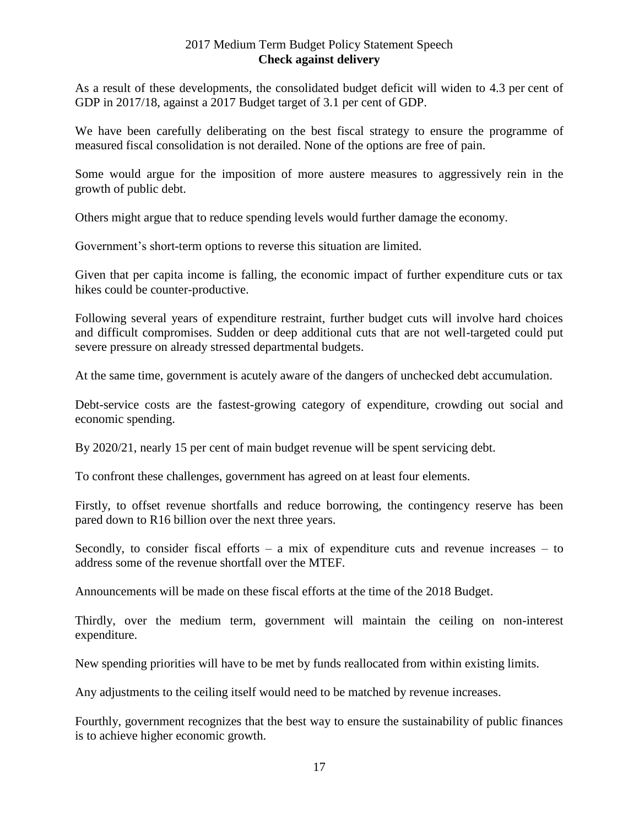As a result of these developments, the consolidated budget deficit will widen to 4.3 per cent of GDP in 2017/18, against a 2017 Budget target of 3.1 per cent of GDP.

We have been carefully deliberating on the best fiscal strategy to ensure the programme of measured fiscal consolidation is not derailed. None of the options are free of pain.

Some would argue for the imposition of more austere measures to aggressively rein in the growth of public debt.

Others might argue that to reduce spending levels would further damage the economy.

Government's short-term options to reverse this situation are limited.

Given that per capita income is falling, the economic impact of further expenditure cuts or tax hikes could be counter-productive.

Following several years of expenditure restraint, further budget cuts will involve hard choices and difficult compromises. Sudden or deep additional cuts that are not well-targeted could put severe pressure on already stressed departmental budgets.

At the same time, government is acutely aware of the dangers of unchecked debt accumulation.

Debt-service costs are the fastest-growing category of expenditure, crowding out social and economic spending.

By 2020/21, nearly 15 per cent of main budget revenue will be spent servicing debt.

To confront these challenges, government has agreed on at least four elements.

Firstly, to offset revenue shortfalls and reduce borrowing, the contingency reserve has been pared down to R16 billion over the next three years.

Secondly, to consider fiscal efforts – a mix of expenditure cuts and revenue increases – to address some of the revenue shortfall over the MTEF.

Announcements will be made on these fiscal efforts at the time of the 2018 Budget.

Thirdly, over the medium term, government will maintain the ceiling on non-interest expenditure.

New spending priorities will have to be met by funds reallocated from within existing limits.

Any adjustments to the ceiling itself would need to be matched by revenue increases.

Fourthly, government recognizes that the best way to ensure the sustainability of public finances is to achieve higher economic growth.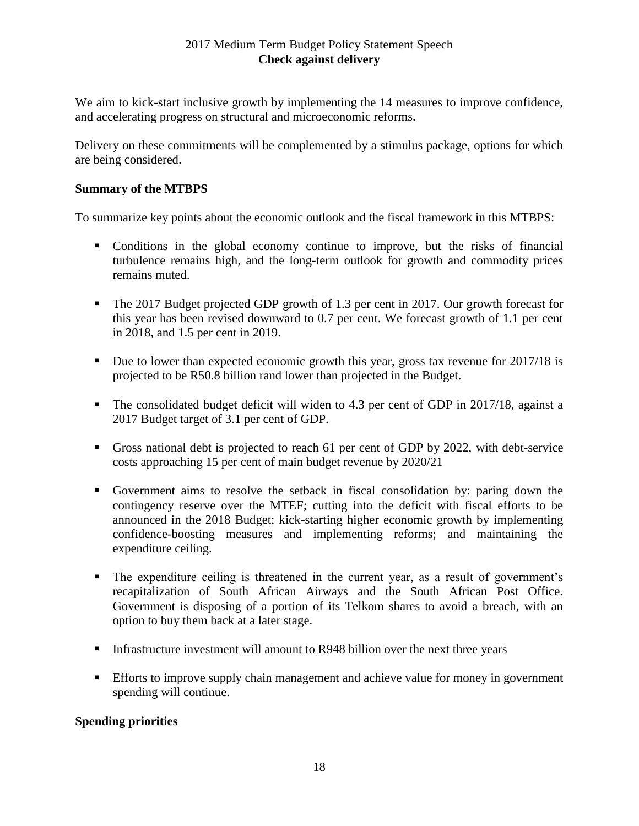We aim to kick-start inclusive growth by implementing the 14 measures to improve confidence, and accelerating progress on structural and microeconomic reforms.

Delivery on these commitments will be complemented by a stimulus package, options for which are being considered.

#### **Summary of the MTBPS**

To summarize key points about the economic outlook and the fiscal framework in this MTBPS:

- Conditions in the global economy continue to improve, but the risks of financial turbulence remains high, and the long-term outlook for growth and commodity prices remains muted.
- The 2017 Budget projected GDP growth of 1.3 per cent in 2017. Our growth forecast for this year has been revised downward to 0.7 per cent. We forecast growth of 1.1 per cent in 2018, and 1.5 per cent in 2019.
- Due to lower than expected economic growth this year, gross tax revenue for 2017/18 is projected to be R50.8 billion rand lower than projected in the Budget.
- The consolidated budget deficit will widen to 4.3 per cent of GDP in 2017/18, against a 2017 Budget target of 3.1 per cent of GDP.
- Gross national debt is projected to reach 61 per cent of GDP by 2022, with debt-service costs approaching 15 per cent of main budget revenue by 2020/21
- Government aims to resolve the setback in fiscal consolidation by: paring down the contingency reserve over the MTEF; cutting into the deficit with fiscal efforts to be announced in the 2018 Budget; kick-starting higher economic growth by implementing confidence-boosting measures and implementing reforms; and maintaining the expenditure ceiling.
- The expenditure ceiling is threatened in the current year, as a result of government's recapitalization of South African Airways and the South African Post Office. Government is disposing of a portion of its Telkom shares to avoid a breach, with an option to buy them back at a later stage.
- Infrastructure investment will amount to R948 billion over the next three years
- Efforts to improve supply chain management and achieve value for money in government spending will continue.

# **Spending priorities**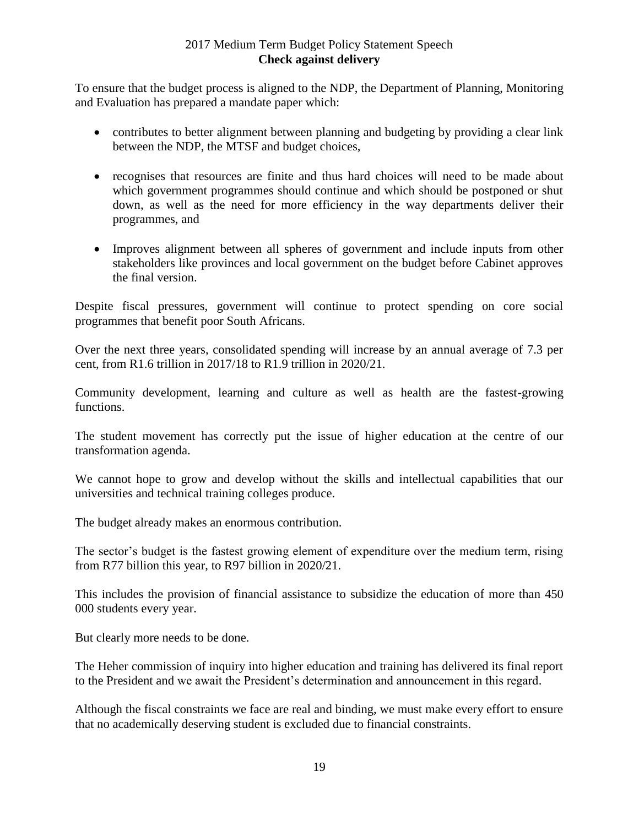To ensure that the budget process is aligned to the NDP, the Department of Planning, Monitoring and Evaluation has prepared a mandate paper which:

- contributes to better alignment between planning and budgeting by providing a clear link between the NDP, the MTSF and budget choices,
- recognises that resources are finite and thus hard choices will need to be made about which government programmes should continue and which should be postponed or shut down, as well as the need for more efficiency in the way departments deliver their programmes, and
- Improves alignment between all spheres of government and include inputs from other stakeholders like provinces and local government on the budget before Cabinet approves the final version.

Despite fiscal pressures, government will continue to protect spending on core social programmes that benefit poor South Africans.

Over the next three years, consolidated spending will increase by an annual average of 7.3 per cent, from R1.6 trillion in 2017/18 to R1.9 trillion in 2020/21.

Community development, learning and culture as well as health are the fastest-growing functions.

The student movement has correctly put the issue of higher education at the centre of our transformation agenda.

We cannot hope to grow and develop without the skills and intellectual capabilities that our universities and technical training colleges produce.

The budget already makes an enormous contribution.

The sector's budget is the fastest growing element of expenditure over the medium term, rising from R77 billion this year, to R97 billion in 2020/21.

This includes the provision of financial assistance to subsidize the education of more than 450 000 students every year.

But clearly more needs to be done.

The Heher commission of inquiry into higher education and training has delivered its final report to the President and we await the President's determination and announcement in this regard.

Although the fiscal constraints we face are real and binding, we must make every effort to ensure that no academically deserving student is excluded due to financial constraints.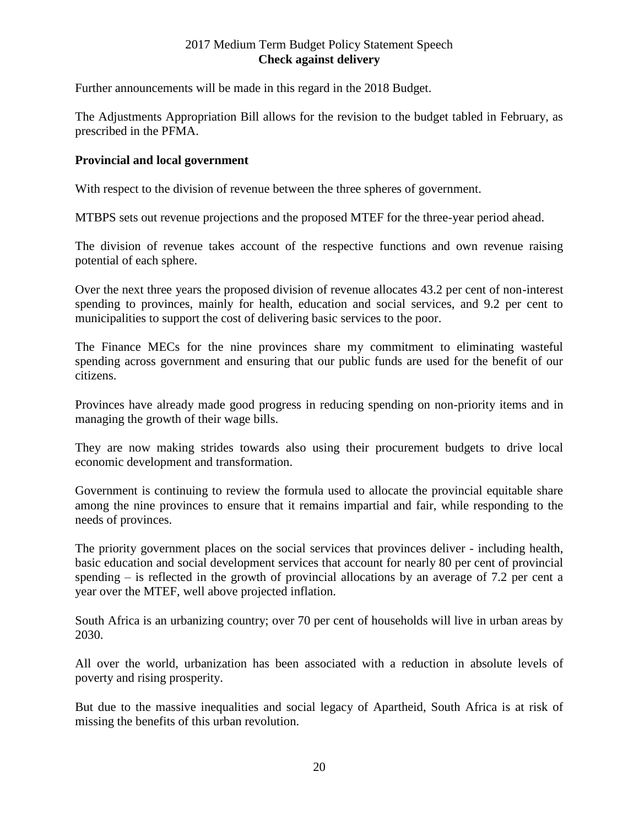Further announcements will be made in this regard in the 2018 Budget.

The Adjustments Appropriation Bill allows for the revision to the budget tabled in February, as prescribed in the PFMA.

# **Provincial and local government**

With respect to the division of revenue between the three spheres of government.

MTBPS sets out revenue projections and the proposed MTEF for the three-year period ahead.

The division of revenue takes account of the respective functions and own revenue raising potential of each sphere.

Over the next three years the proposed division of revenue allocates 43.2 per cent of non-interest spending to provinces, mainly for health, education and social services, and 9.2 per cent to municipalities to support the cost of delivering basic services to the poor.

The Finance MECs for the nine provinces share my commitment to eliminating wasteful spending across government and ensuring that our public funds are used for the benefit of our citizens.

Provinces have already made good progress in reducing spending on non-priority items and in managing the growth of their wage bills.

They are now making strides towards also using their procurement budgets to drive local economic development and transformation.

Government is continuing to review the formula used to allocate the provincial equitable share among the nine provinces to ensure that it remains impartial and fair, while responding to the needs of provinces.

The priority government places on the social services that provinces deliver - including health, basic education and social development services that account for nearly 80 per cent of provincial spending  $-$  is reflected in the growth of provincial allocations by an average of 7.2 per cent a year over the MTEF, well above projected inflation.

South Africa is an urbanizing country; over 70 per cent of households will live in urban areas by 2030.

All over the world, urbanization has been associated with a reduction in absolute levels of poverty and rising prosperity.

But due to the massive inequalities and social legacy of Apartheid, South Africa is at risk of missing the benefits of this urban revolution.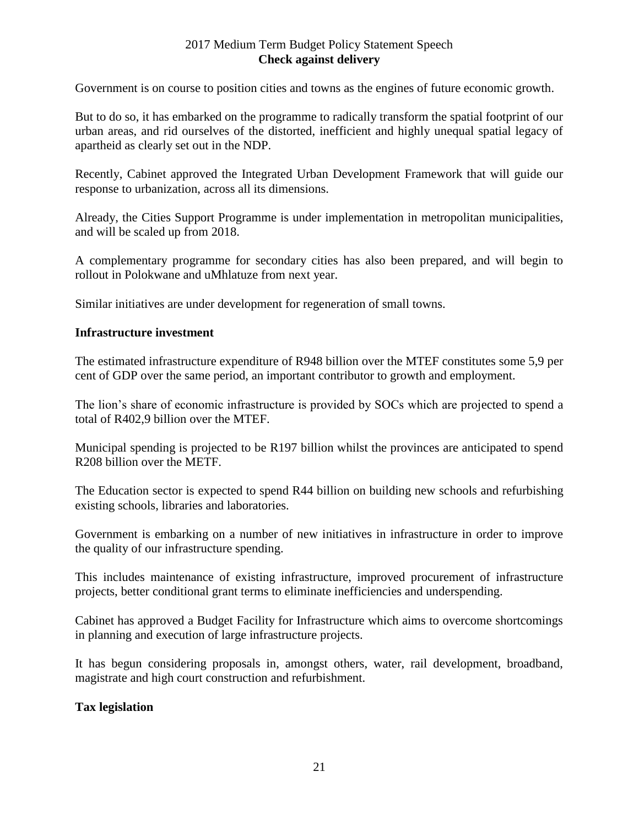Government is on course to position cities and towns as the engines of future economic growth.

But to do so, it has embarked on the programme to radically transform the spatial footprint of our urban areas, and rid ourselves of the distorted, inefficient and highly unequal spatial legacy of apartheid as clearly set out in the NDP.

Recently, Cabinet approved the Integrated Urban Development Framework that will guide our response to urbanization, across all its dimensions.

Already, the Cities Support Programme is under implementation in metropolitan municipalities, and will be scaled up from 2018.

A complementary programme for secondary cities has also been prepared, and will begin to rollout in Polokwane and uMhlatuze from next year.

Similar initiatives are under development for regeneration of small towns.

#### **Infrastructure investment**

The estimated infrastructure expenditure of R948 billion over the MTEF constitutes some 5,9 per cent of GDP over the same period, an important contributor to growth and employment.

The lion's share of economic infrastructure is provided by SOCs which are projected to spend a total of R402,9 billion over the MTEF.

Municipal spending is projected to be R197 billion whilst the provinces are anticipated to spend R208 billion over the METF.

The Education sector is expected to spend R44 billion on building new schools and refurbishing existing schools, libraries and laboratories.

Government is embarking on a number of new initiatives in infrastructure in order to improve the quality of our infrastructure spending.

This includes maintenance of existing infrastructure, improved procurement of infrastructure projects, better conditional grant terms to eliminate inefficiencies and underspending.

Cabinet has approved a Budget Facility for Infrastructure which aims to overcome shortcomings in planning and execution of large infrastructure projects.

It has begun considering proposals in, amongst others, water, rail development, broadband, magistrate and high court construction and refurbishment.

#### **Tax legislation**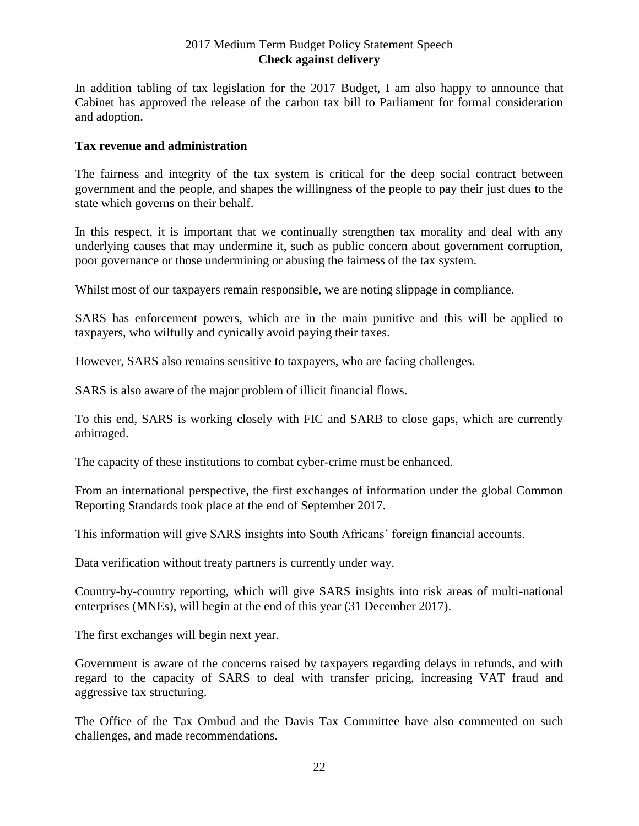In addition tabling of tax legislation for the 2017 Budget, I am also happy to announce that Cabinet has approved the release of the carbon tax bill to Parliament for formal consideration and adoption.

#### **Tax revenue and administration**

The fairness and integrity of the tax system is critical for the deep social contract between government and the people, and shapes the willingness of the people to pay their just dues to the state which governs on their behalf.

In this respect, it is important that we continually strengthen tax morality and deal with any underlying causes that may undermine it, such as public concern about government corruption, poor governance or those undermining or abusing the fairness of the tax system.

Whilst most of our taxpayers remain responsible, we are noting slippage in compliance.

SARS has enforcement powers, which are in the main punitive and this will be applied to taxpayers, who wilfully and cynically avoid paying their taxes.

However, SARS also remains sensitive to taxpayers, who are facing challenges.

SARS is also aware of the major problem of illicit financial flows.

To this end, SARS is working closely with FIC and SARB to close gaps, which are currently arbitraged.

The capacity of these institutions to combat cyber-crime must be enhanced.

From an international perspective, the first exchanges of information under the global Common Reporting Standards took place at the end of September 2017.

This information will give SARS insights into South Africans' foreign financial accounts.

Data verification without treaty partners is currently under way.

Country-by-country reporting, which will give SARS insights into risk areas of multi-national enterprises (MNEs), will begin at the end of this year (31 December 2017).

The first exchanges will begin next year.

Government is aware of the concerns raised by taxpayers regarding delays in refunds, and with regard to the capacity of SARS to deal with transfer pricing, increasing VAT fraud and aggressive tax structuring.

The Office of the Tax Ombud and the Davis Tax Committee have also commented on such challenges, and made recommendations.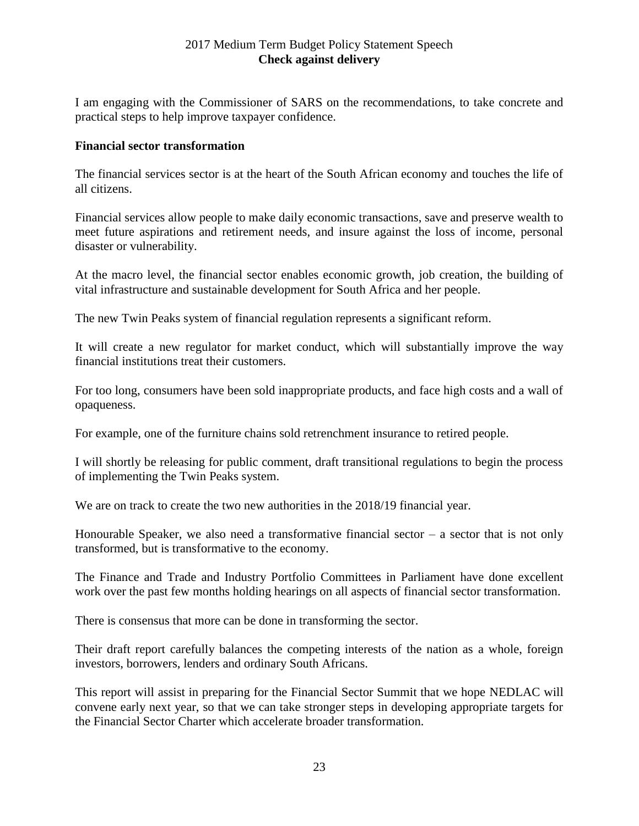I am engaging with the Commissioner of SARS on the recommendations, to take concrete and practical steps to help improve taxpayer confidence.

#### **Financial sector transformation**

The financial services sector is at the heart of the South African economy and touches the life of all citizens.

Financial services allow people to make daily economic transactions, save and preserve wealth to meet future aspirations and retirement needs, and insure against the loss of income, personal disaster or vulnerability.

At the macro level, the financial sector enables economic growth, job creation, the building of vital infrastructure and sustainable development for South Africa and her people.

The new Twin Peaks system of financial regulation represents a significant reform.

It will create a new regulator for market conduct, which will substantially improve the way financial institutions treat their customers.

For too long, consumers have been sold inappropriate products, and face high costs and a wall of opaqueness.

For example, one of the furniture chains sold retrenchment insurance to retired people.

I will shortly be releasing for public comment, draft transitional regulations to begin the process of implementing the Twin Peaks system.

We are on track to create the two new authorities in the 2018/19 financial year.

Honourable Speaker, we also need a transformative financial sector – a sector that is not only transformed, but is transformative to the economy.

The Finance and Trade and Industry Portfolio Committees in Parliament have done excellent work over the past few months holding hearings on all aspects of financial sector transformation.

There is consensus that more can be done in transforming the sector.

Their draft report carefully balances the competing interests of the nation as a whole, foreign investors, borrowers, lenders and ordinary South Africans.

This report will assist in preparing for the Financial Sector Summit that we hope NEDLAC will convene early next year, so that we can take stronger steps in developing appropriate targets for the Financial Sector Charter which accelerate broader transformation.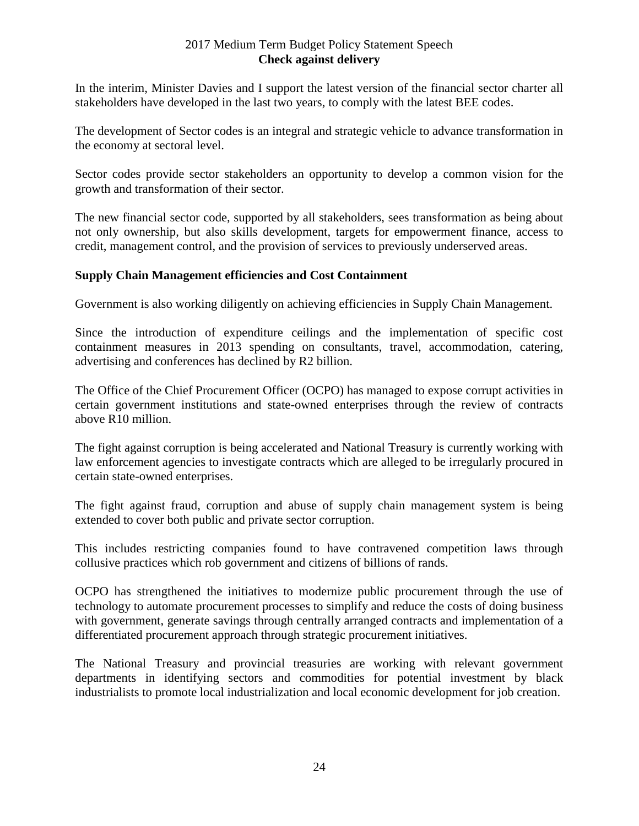In the interim, Minister Davies and I support the latest version of the financial sector charter all stakeholders have developed in the last two years, to comply with the latest BEE codes.

The development of Sector codes is an integral and strategic vehicle to advance transformation in the economy at sectoral level.

Sector codes provide sector stakeholders an opportunity to develop a common vision for the growth and transformation of their sector.

The new financial sector code, supported by all stakeholders, sees transformation as being about not only ownership, but also skills development, targets for empowerment finance, access to credit, management control, and the provision of services to previously underserved areas.

#### **Supply Chain Management efficiencies and Cost Containment**

Government is also working diligently on achieving efficiencies in Supply Chain Management.

Since the introduction of expenditure ceilings and the implementation of specific cost containment measures in 2013 spending on consultants, travel, accommodation, catering, advertising and conferences has declined by R2 billion.

The Office of the Chief Procurement Officer (OCPO) has managed to expose corrupt activities in certain government institutions and state-owned enterprises through the review of contracts above R10 million.

The fight against corruption is being accelerated and National Treasury is currently working with law enforcement agencies to investigate contracts which are alleged to be irregularly procured in certain state-owned enterprises.

The fight against fraud, corruption and abuse of supply chain management system is being extended to cover both public and private sector corruption.

This includes restricting companies found to have contravened competition laws through collusive practices which rob government and citizens of billions of rands.

OCPO has strengthened the initiatives to modernize public procurement through the use of technology to automate procurement processes to simplify and reduce the costs of doing business with government, generate savings through centrally arranged contracts and implementation of a differentiated procurement approach through strategic procurement initiatives.

The National Treasury and provincial treasuries are working with relevant government departments in identifying sectors and commodities for potential investment by black industrialists to promote local industrialization and local economic development for job creation.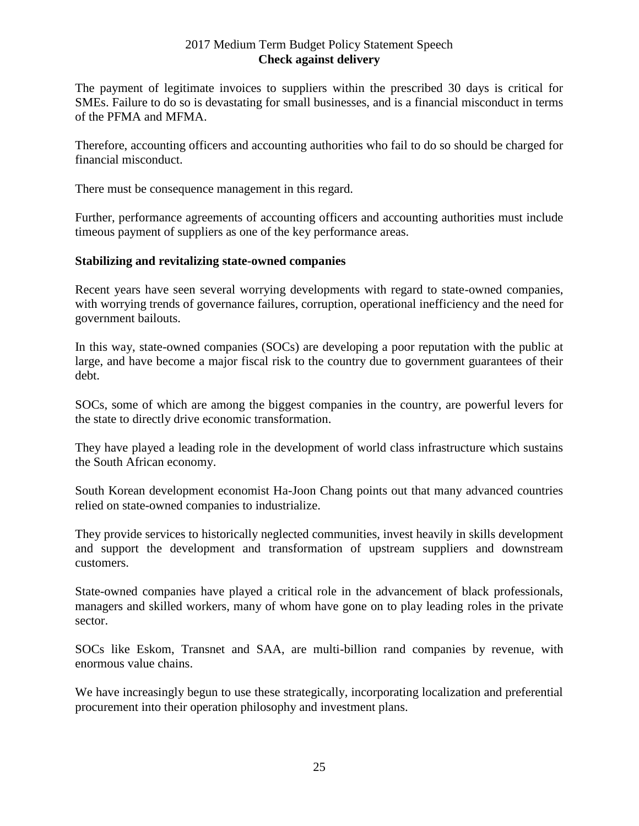The payment of legitimate invoices to suppliers within the prescribed 30 days is critical for SMEs. Failure to do so is devastating for small businesses, and is a financial misconduct in terms of the PFMA and MFMA.

Therefore, accounting officers and accounting authorities who fail to do so should be charged for financial misconduct.

There must be consequence management in this regard.

Further, performance agreements of accounting officers and accounting authorities must include timeous payment of suppliers as one of the key performance areas.

#### **Stabilizing and revitalizing state-owned companies**

Recent years have seen several worrying developments with regard to state-owned companies, with worrying trends of governance failures, corruption, operational inefficiency and the need for government bailouts.

In this way, state-owned companies (SOCs) are developing a poor reputation with the public at large, and have become a major fiscal risk to the country due to government guarantees of their debt.

SOCs, some of which are among the biggest companies in the country, are powerful levers for the state to directly drive economic transformation.

They have played a leading role in the development of world class infrastructure which sustains the South African economy.

South Korean development economist Ha-Joon Chang points out that many advanced countries relied on state-owned companies to industrialize.

They provide services to historically neglected communities, invest heavily in skills development and support the development and transformation of upstream suppliers and downstream customers.

State-owned companies have played a critical role in the advancement of black professionals, managers and skilled workers, many of whom have gone on to play leading roles in the private sector.

SOCs like Eskom, Transnet and SAA, are multi-billion rand companies by revenue, with enormous value chains.

We have increasingly begun to use these strategically, incorporating localization and preferential procurement into their operation philosophy and investment plans.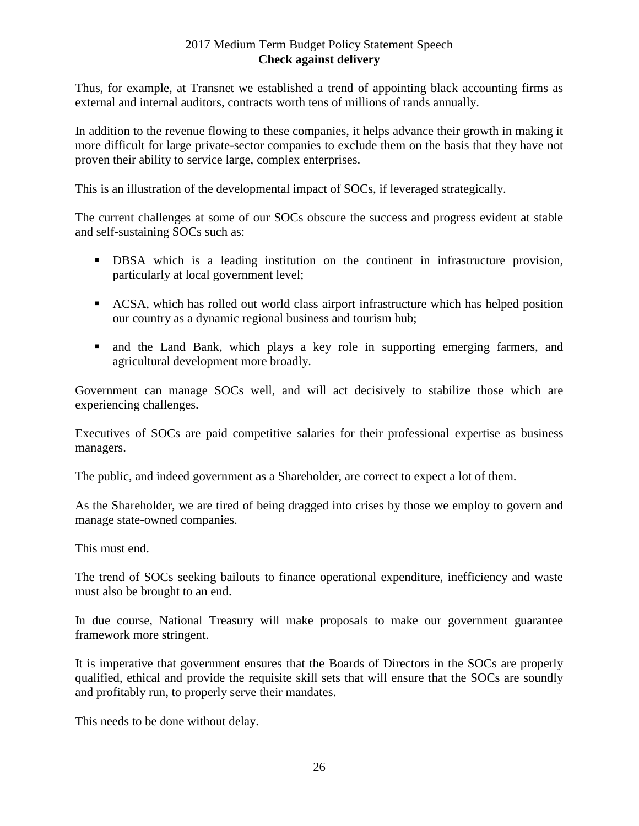Thus, for example, at Transnet we established a trend of appointing black accounting firms as external and internal auditors, contracts worth tens of millions of rands annually.

In addition to the revenue flowing to these companies, it helps advance their growth in making it more difficult for large private-sector companies to exclude them on the basis that they have not proven their ability to service large, complex enterprises.

This is an illustration of the developmental impact of SOCs, if leveraged strategically.

The current challenges at some of our SOCs obscure the success and progress evident at stable and self-sustaining SOCs such as:

- DBSA which is a leading institution on the continent in infrastructure provision, particularly at local government level;
- ACSA, which has rolled out world class airport infrastructure which has helped position our country as a dynamic regional business and tourism hub;
- and the Land Bank, which plays a key role in supporting emerging farmers, and agricultural development more broadly.

Government can manage SOCs well, and will act decisively to stabilize those which are experiencing challenges.

Executives of SOCs are paid competitive salaries for their professional expertise as business managers.

The public, and indeed government as a Shareholder, are correct to expect a lot of them.

As the Shareholder, we are tired of being dragged into crises by those we employ to govern and manage state-owned companies.

This must end.

The trend of SOCs seeking bailouts to finance operational expenditure, inefficiency and waste must also be brought to an end.

In due course, National Treasury will make proposals to make our government guarantee framework more stringent.

It is imperative that government ensures that the Boards of Directors in the SOCs are properly qualified, ethical and provide the requisite skill sets that will ensure that the SOCs are soundly and profitably run, to properly serve their mandates.

This needs to be done without delay.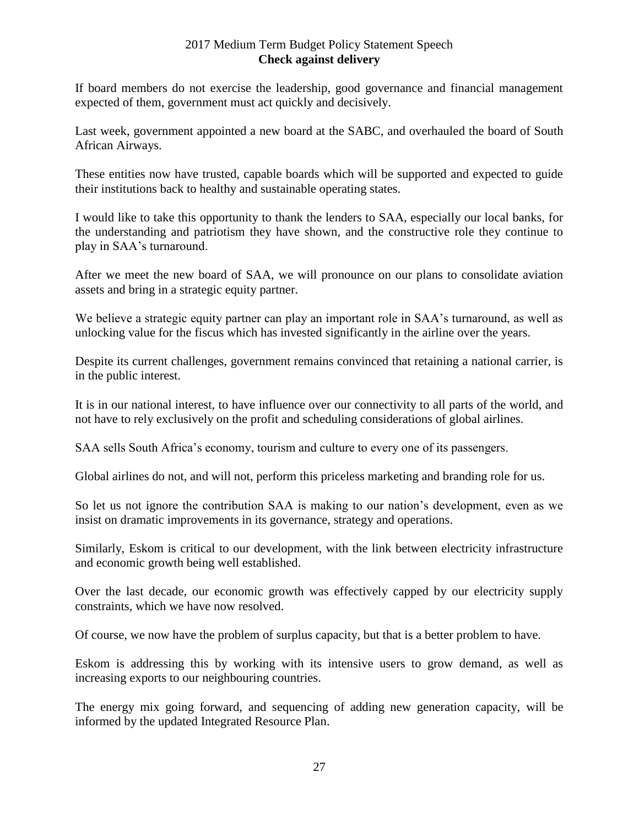If board members do not exercise the leadership, good governance and financial management expected of them, government must act quickly and decisively.

Last week, government appointed a new board at the SABC, and overhauled the board of South African Airways.

These entities now have trusted, capable boards which will be supported and expected to guide their institutions back to healthy and sustainable operating states.

I would like to take this opportunity to thank the lenders to SAA, especially our local banks, for the understanding and patriotism they have shown, and the constructive role they continue to play in SAA's turnaround.

After we meet the new board of SAA, we will pronounce on our plans to consolidate aviation assets and bring in a strategic equity partner.

We believe a strategic equity partner can play an important role in SAA's turnaround, as well as unlocking value for the fiscus which has invested significantly in the airline over the years.

Despite its current challenges, government remains convinced that retaining a national carrier, is in the public interest.

It is in our national interest, to have influence over our connectivity to all parts of the world, and not have to rely exclusively on the profit and scheduling considerations of global airlines.

SAA sells South Africa's economy, tourism and culture to every one of its passengers.

Global airlines do not, and will not, perform this priceless marketing and branding role for us.

So let us not ignore the contribution SAA is making to our nation's development, even as we insist on dramatic improvements in its governance, strategy and operations.

Similarly, Eskom is critical to our development, with the link between electricity infrastructure and economic growth being well established.

Over the last decade, our economic growth was effectively capped by our electricity supply constraints, which we have now resolved.

Of course, we now have the problem of surplus capacity, but that is a better problem to have.

Eskom is addressing this by working with its intensive users to grow demand, as well as increasing exports to our neighbouring countries.

The energy mix going forward, and sequencing of adding new generation capacity, will be informed by the updated Integrated Resource Plan.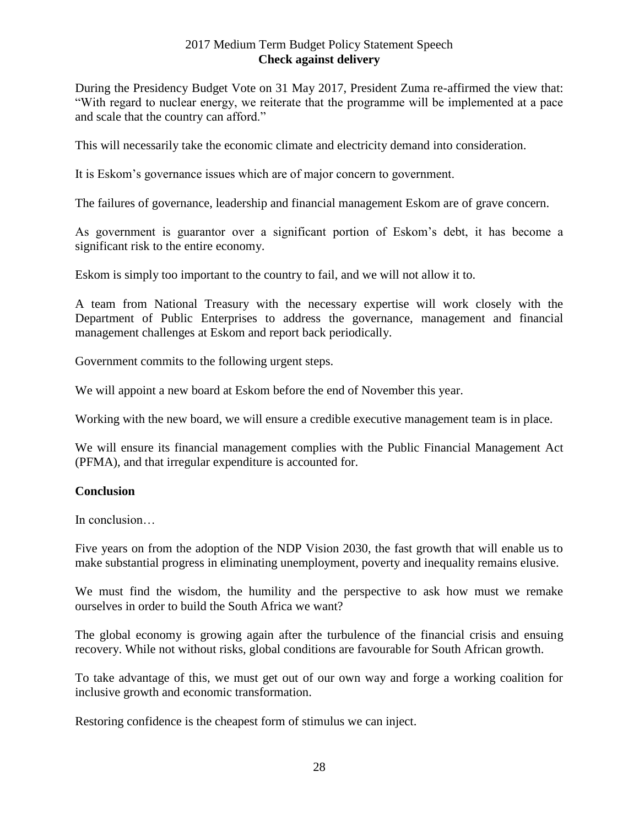During the Presidency Budget Vote on 31 May 2017, President Zuma re-affirmed the view that: "With regard to nuclear energy, we reiterate that the programme will be implemented at a pace and scale that the country can afford."

This will necessarily take the economic climate and electricity demand into consideration.

It is Eskom's governance issues which are of major concern to government.

The failures of governance, leadership and financial management Eskom are of grave concern.

As government is guarantor over a significant portion of Eskom's debt, it has become a significant risk to the entire economy.

Eskom is simply too important to the country to fail, and we will not allow it to.

A team from National Treasury with the necessary expertise will work closely with the Department of Public Enterprises to address the governance, management and financial management challenges at Eskom and report back periodically.

Government commits to the following urgent steps.

We will appoint a new board at Eskom before the end of November this year.

Working with the new board, we will ensure a credible executive management team is in place.

We will ensure its financial management complies with the Public Financial Management Act (PFMA), and that irregular expenditure is accounted for.

#### **Conclusion**

In conclusion…

Five years on from the adoption of the NDP Vision 2030, the fast growth that will enable us to make substantial progress in eliminating unemployment, poverty and inequality remains elusive.

We must find the wisdom, the humility and the perspective to ask how must we remake ourselves in order to build the South Africa we want?

The global economy is growing again after the turbulence of the financial crisis and ensuing recovery. While not without risks, global conditions are favourable for South African growth.

To take advantage of this, we must get out of our own way and forge a working coalition for inclusive growth and economic transformation.

Restoring confidence is the cheapest form of stimulus we can inject.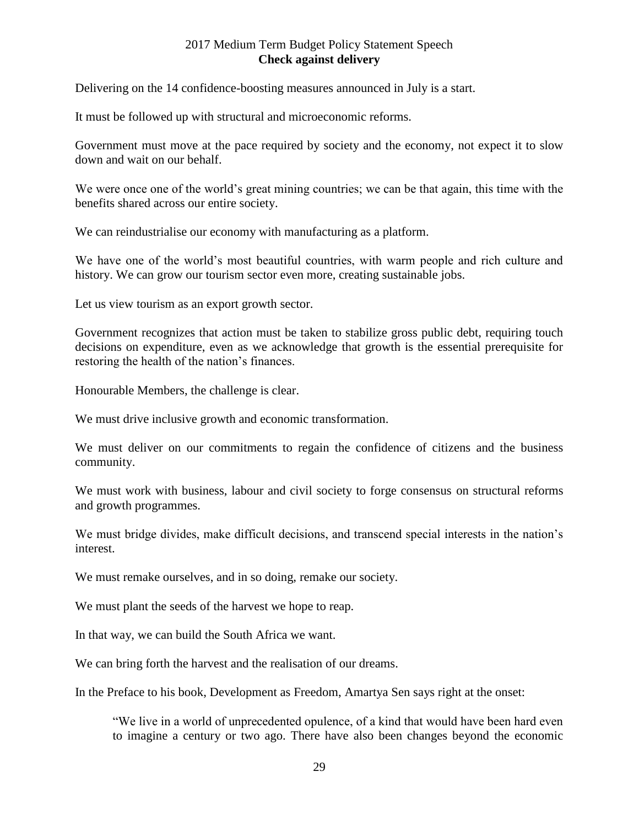Delivering on the 14 confidence-boosting measures announced in July is a start.

It must be followed up with structural and microeconomic reforms.

Government must move at the pace required by society and the economy, not expect it to slow down and wait on our behalf.

We were once one of the world's great mining countries; we can be that again, this time with the benefits shared across our entire society.

We can reindustrialise our economy with manufacturing as a platform.

We have one of the world's most beautiful countries, with warm people and rich culture and history. We can grow our tourism sector even more, creating sustainable jobs.

Let us view tourism as an export growth sector.

Government recognizes that action must be taken to stabilize gross public debt, requiring touch decisions on expenditure, even as we acknowledge that growth is the essential prerequisite for restoring the health of the nation's finances.

Honourable Members, the challenge is clear.

We must drive inclusive growth and economic transformation.

We must deliver on our commitments to regain the confidence of citizens and the business community.

We must work with business, labour and civil society to forge consensus on structural reforms and growth programmes.

We must bridge divides, make difficult decisions, and transcend special interests in the nation's interest.

We must remake ourselves, and in so doing, remake our society.

We must plant the seeds of the harvest we hope to reap.

In that way, we can build the South Africa we want.

We can bring forth the harvest and the realisation of our dreams.

In the Preface to his book, Development as Freedom, Amartya Sen says right at the onset:

"We live in a world of unprecedented opulence, of a kind that would have been hard even to imagine a century or two ago. There have also been changes beyond the economic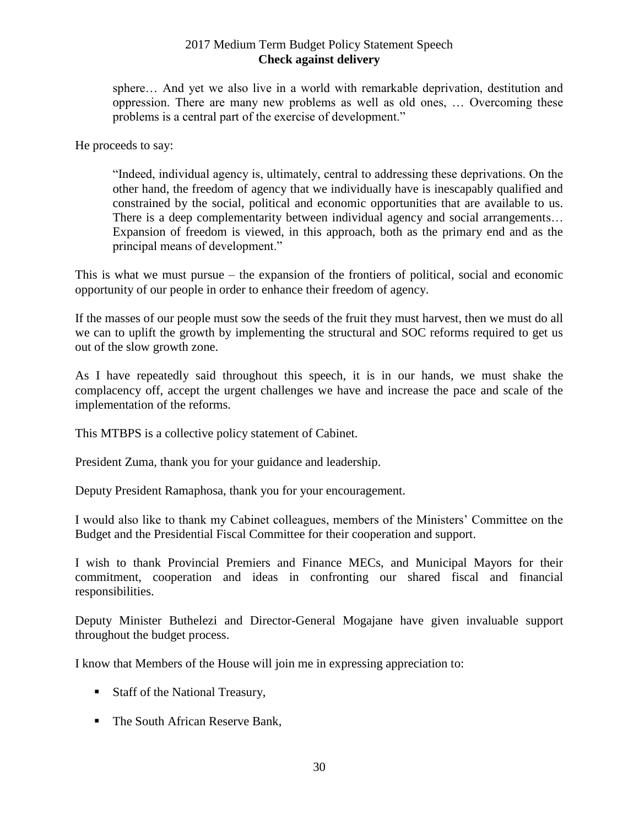sphere… And yet we also live in a world with remarkable deprivation, destitution and oppression. There are many new problems as well as old ones, … Overcoming these problems is a central part of the exercise of development."

He proceeds to say:

"Indeed, individual agency is, ultimately, central to addressing these deprivations. On the other hand, the freedom of agency that we individually have is inescapably qualified and constrained by the social, political and economic opportunities that are available to us. There is a deep complementarity between individual agency and social arrangements... Expansion of freedom is viewed, in this approach, both as the primary end and as the principal means of development."

This is what we must pursue – the expansion of the frontiers of political, social and economic opportunity of our people in order to enhance their freedom of agency.

If the masses of our people must sow the seeds of the fruit they must harvest, then we must do all we can to uplift the growth by implementing the structural and SOC reforms required to get us out of the slow growth zone.

As I have repeatedly said throughout this speech, it is in our hands, we must shake the complacency off, accept the urgent challenges we have and increase the pace and scale of the implementation of the reforms.

This MTBPS is a collective policy statement of Cabinet.

President Zuma, thank you for your guidance and leadership.

Deputy President Ramaphosa, thank you for your encouragement.

I would also like to thank my Cabinet colleagues, members of the Ministers' Committee on the Budget and the Presidential Fiscal Committee for their cooperation and support.

I wish to thank Provincial Premiers and Finance MECs, and Municipal Mayors for their commitment, cooperation and ideas in confronting our shared fiscal and financial responsibilities.

Deputy Minister Buthelezi and Director-General Mogajane have given invaluable support throughout the budget process.

I know that Members of the House will join me in expressing appreciation to:

- Staff of the National Treasury,
- The South African Reserve Bank,